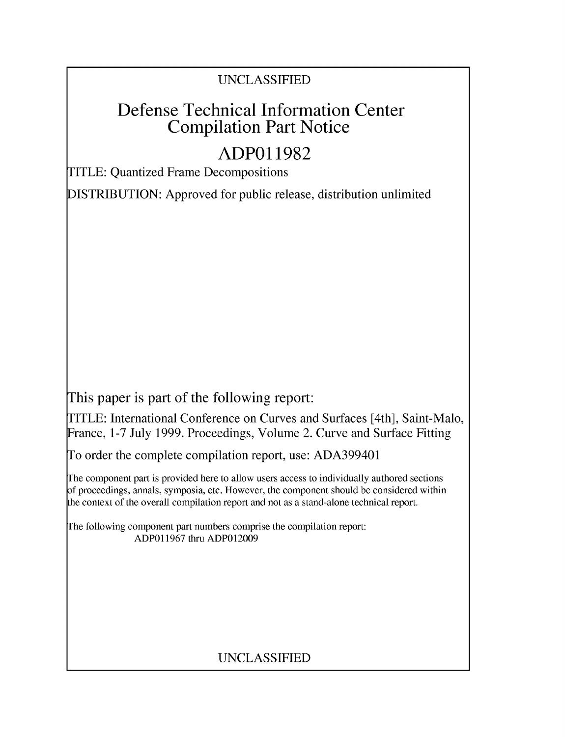## UNCLASSIFIED

# Defense Technical Information Center Compilation Part Notice

# **ADPO1 1982**

TITLE: Quantized Frame Decompositions

DISTRIBUTION: Approved for public release, distribution unlimited

This paper is part of the following report:

TITLE: International Conference on Curves and Surfaces [4th], Saint-Malo, France, 1-7 July 1999. Proceedings, Volume 2. Curve and Surface Fitting

To order the complete compilation report, use: ADA399401

The component part is provided here to allow users access to individually authored sections f proceedings, annals, symposia, etc. However, the component should be considered within [he context of the overall compilation report and not as a stand-alone technical report.

The following component part numbers comprise the compilation report: ADP011967 thru ADPO12009

## UNCLASSIFIED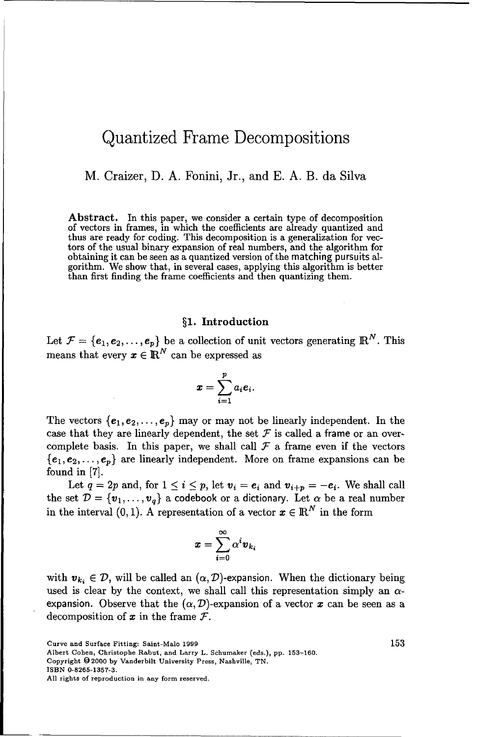### Quantized Frame Decompositions

M. Craizer, D. A. Fonini, Jr., and E. A. B. da Silva

Abstract. In this paper, we consider a certain type of decomposition of vectors in frames, in which the coefficients are already quantized and thus are ready for coding. This decomposition is a generalization for vectors of the usual binary expansion of real numbers, and the algorithm for obtaining it can be seen as a quantized version of the matching pursuits algorithm. We show that, in several cases, applying this algorithm is better than first finding the frame coefficients and then quantizing them.

#### §1. Introduction

Let  $\mathcal{F} = \{e_1, e_2, \ldots, e_p\}$  be a collection of unit vectors generating  $\mathbb{R}^N$ . This means that every  $\pmb{x} \in \mathbb{R}^N$  can be expressed as

$$
\boldsymbol{x} = \sum_{i=1}^p a_i \boldsymbol{e}_i.
$$

The vectors  ${e_1, e_2, \ldots, e_p}$  may or may not be linearly independent. In the case that they are linearly dependent, the set  $\mathcal F$  is called a frame or an overcomplete basis. In this paper, we shall call  $\mathcal F$  a frame even if the vectors  ${e_1, e_2, \ldots, e_p}$  are linearly independent. More on frame expansions can be found in **[7].**

Let  $q = 2p$  and, for  $1 \leq i \leq p$ , let  $v_i = e_i$  and  $v_{i+p} = -e_i$ . We shall call the set  $\mathcal{D} = \{\mathbf{v}_1, \dots, \mathbf{v}_q\}$  a codebook or a dictionary. Let  $\alpha$  be a real number in the interval  $(0, 1)$ . A representation of a vector  $x \in \mathbb{R}^N$  in the form

$$
\pmb{x} = \sum_{i=0}^\infty \alpha^i \pmb{v}_{k_i}
$$

with  $v_k \in \mathcal{D}$ , will be called an  $(\alpha, \mathcal{D})$ -expansion. When the dictionary being used is clear by the context, we shall call this representation simply an  $\alpha$ expansion. Observe that the  $(\alpha, \mathcal{D})$ -expansion of a vector x can be seen as a decomposition of  $x$  in the frame  $\mathcal{F}$ .

Curve and Surface Fitting: Saint-Malo 1999 153

Albert Cohen, Christophe Rabut, and Larry L. Schumaker (eds.), pp. 153-160.

Copyright **0** 2000 by Vanderbilt University Press, Nashville, TN.

ISBN 0-8265-1357-3.

All rights of reproduction in any form reserved.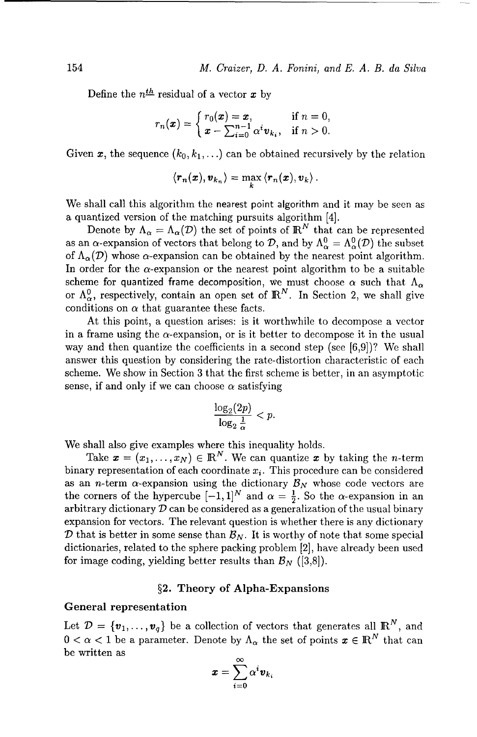Define the  $n^{\underline{th}}$  residual of a vector x by

$$
r_n(\boldsymbol{x}) = \begin{cases} r_0(\boldsymbol{x}) = \boldsymbol{x}, & \text{if } n = 0, \\ \boldsymbol{x} - \sum_{i=0}^{n-1} \alpha^i \boldsymbol{v}_{k_i}, & \text{if } n > 0. \end{cases}
$$

Given x, the sequence  $(k_0, k_1, \ldots)$  can be obtained recursively by the relation

$$
\langle \boldsymbol{r}_n(\boldsymbol{x}), \boldsymbol{v}_{k_n} \rangle = \max_{k} \langle \boldsymbol{r}_n(\boldsymbol{x}), \boldsymbol{v}_k \rangle.
$$

We shall call this algorithm the nearest point algorithm and it may be seen as a quantized version of the matching pursuits algorithm [4].

Denote by  $\Lambda_{\alpha} = \Lambda_{\alpha}(\mathcal{D})$  the set of points of  $\mathbb{R}^{N}$  that can be represented as an  $\alpha$ -expansion of vectors that belong to *D*, and by  $\Lambda_{\alpha}^{0} = \Lambda_{\alpha}^{0}(\mathcal{D})$  the subset of  $\Lambda_{\alpha}(\mathcal{D})$  whose  $\alpha$ -expansion can be obtained by the nearest point algorithm. In order for the  $\alpha$ -expansion or the nearest point algorithm to be a suitable scheme for quantized frame decomposition, we must choose  $\alpha$  such that  $\Lambda_{\alpha}$ or  $\Lambda_{\alpha}^{0}$ , respectively, contain an open set of  $\mathbb{R}^{N}$ . In Section 2, we shall give conditions on  $\alpha$  that guarantee these facts.

At this point, a question arises: is it worthwhile to decompose a vector in a frame using the  $\alpha$ -expansion, or is it better to decompose it in the usual way and then quantize the coefficients in a second step (see [6,9])? We shall answer this question by considering the rate-distortion characteristic of each scheme. We show in Section 3 that the first scheme is better, in an asymptotic sense, if and only if we can choose  $\alpha$  satisfying

$$
\frac{\log_2(2p)}{\log_2\frac{1}{\alpha}}
$$

We shall also give examples where this inequality holds.

Take  $\mathbf{x} = (x_1, \ldots, x_N) \in \mathbb{R}^N$ . We can quantize x by taking the *n*-term binary representation of each coordinate  $x_i$ . This procedure can be considered as an *n*-term  $\alpha$ -expansion using the dictionary  $\mathcal{B}_N$  whose code vectors are the corners of the hypercube  $[-1, 1]^N$  and  $\alpha = \frac{1}{2}$ . So the  $\alpha$ -expansion in an arbitrary dictionary *D* can be considered as a generalization of the usual binary expansion for vectors. The relevant question is whether there is any dictionary **D** that is better in some sense than  $B_N$ . It is worthy of note that some special dictionaries, related to the sphere packing problem [2], have already been used for image coding, yielding better results than  $\mathcal{B}_N$  ([3,8]).

#### §2. Theory of Alpha-Expansions

#### General representation

Let  $\mathcal{D} = \{\mathbf{v}_1, \ldots, \mathbf{v}_q\}$  be a collection of vectors that generates all  $\mathbb{R}^N$ , and  $0 < \alpha < 1$  be a parameter. Denote by  $\Lambda_{\alpha}$  the set of points  $x \in \mathbb{R}^{N}$  that can be written as **<sup>00</sup>**

$$
\boldsymbol{x} = \sum_{i=0}^\infty \alpha^i \boldsymbol{v}_k
$$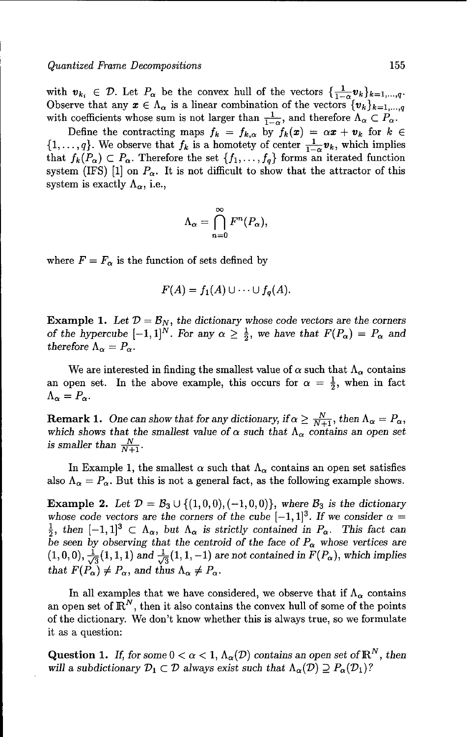with  $v_{k_i} \in \mathcal{D}$ . Let  $P_\alpha$  be the convex hull of the vectors  $\{\frac{1}{1-\alpha}v_k\}_{k=1,\dots,q}$ . Observe that any  $x \in \Lambda_{\alpha}$  is a linear combination of the vectors  ${v_k}_{k=1,\ldots,q}$ with coefficients whose sum is not larger than  $\frac{1}{1-\alpha}$ , and therefore  $\Lambda_{\alpha} \subset P_{\alpha}$ .

Define the contracting maps  $f_k = f_{k,\alpha}$  by  $f_k(x) = \alpha x + v_k$  for  $k \in$  $\{1,\ldots,q\}$ . We observe that  $f_k$  is a homotety of center  $\frac{1}{1-\alpha}\mathbf{v}_k$ , which implies that  $f_k(P_\alpha) \subset P_\alpha$ . Therefore the set  $\{f_1, \ldots, f_q\}$  forms an iterated function system (IFS) [1] on  $P_{\alpha}$ . It is not difficult to show that the attractor of this system is exactly  $\Lambda_{\alpha}$ , i.e.,

$$
\Lambda_{\alpha}=\bigcap_{n=0}^{\infty}F^n(P_{\alpha}),
$$

where  $F = F_{\alpha}$  is the function of sets defined by

$$
F(A) = f_1(A) \cup \cdots \cup f_q(A).
$$

**Example 1.** Let  $D = B_N$ , the dictionary whose code vectors are the corners *of the hypercube*  $[-1, 1]^N$ . For any  $\alpha \geq \frac{1}{2}$ , we have that  $F(P_\alpha) = P_\alpha$  and *therefore*  $\Lambda_{\alpha} = P_{\alpha}$ .

We are interested in finding the smallest value of  $\alpha$  such that  $\Lambda_{\alpha}$  contains an open set. In the above example, this occurs for  $\alpha = \frac{1}{2}$ , when in fact  $\Lambda_{\alpha}=P_{\alpha}.$ 

**Remark 1.** One can show that for any dictionary, if  $\alpha \geq \frac{N}{N+1}$ , then  $\Lambda_{\alpha} = P_{\alpha}$ , which shows that the smallest value of  $\alpha$  such that  $\Lambda_{\alpha}$  contains an open set *is smaller than*  $\frac{N}{N+1}$ *.* 

In Example 1, the smallest  $\alpha$  such that  $\Lambda_{\alpha}$  contains an open set satisfies also  $\Lambda_{\alpha} = P_{\alpha}$ . But this is not a general fact, as the following example shows.

**Example 2.** Let  $\mathcal{D} = \mathcal{B}_3 \cup \{(1,0,0), (-1,0,0)\}\)$ , where  $\mathcal{B}_3$  is the dictionary whose code vectors are the corners of the cube  $[-1, 1]^3$ . If we consider  $\alpha =$  $\frac{1}{2}$ , then  $[-1,1]^3 \subset \Lambda_{\alpha}$ , but  $\Lambda_{\alpha}$  is strictly contained in  $P_{\alpha}$ . This fact can be seen by observing that the centroid of the face of  $P_\alpha$  whose vertices are  $(1, 0, 0), \frac{1}{\sqrt{3}}(1, 1, 1)$  *and*  $\frac{1}{\sqrt{3}}(1, 1, -1)$  *are not contained in*  $\tilde{F}(P_\alpha)$ *, which implies that*  $F(\tilde{P_{\alpha}}) \neq P_{\alpha}$ , and thus  $\Lambda_{\alpha} \neq P_{\alpha}$ .

In all examples that we have considered, we observe that if  $\Lambda_{\alpha}$  contains an open set of  $\mathbb{R}^N$ , then it also contains the convex hull of some of the points of the dictionary. We don't know whether this is always true, so we formulate it as a question:

Question 1. If, for some  $0 < \alpha < 1$ ,  $\Lambda_{\alpha}(\mathcal{D})$  contains an open set of  $\mathbb{R}^{N}$ , then will a subdictionary  $\mathcal{D}_1 \subset \mathcal{D}$  always exist such that  $\Lambda_{\alpha}(\mathcal{D}) \supseteq P_{\alpha}(\mathcal{D}_1)$ ?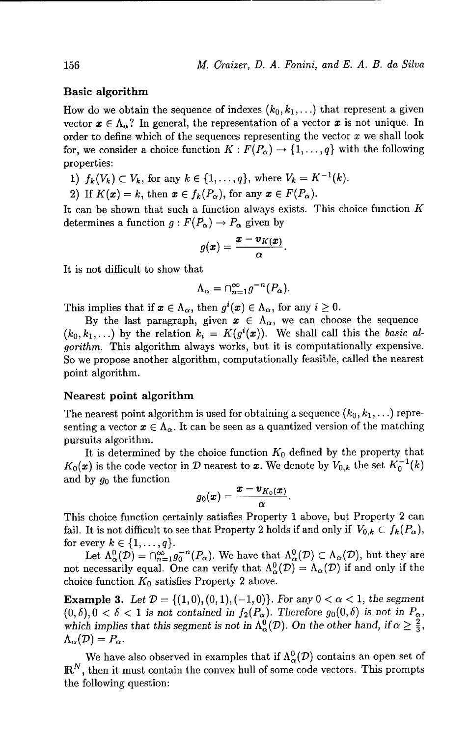#### Basic algorithm

How do we obtain the sequence of indexes  $(k_0, k_1, \ldots)$  that represent a given vector  $x \in \Lambda_{\alpha}$ ? In general, the representation of a vector x is not unique. In order to define which of the sequences representing the vector  $x$  we shall look for, we consider a choice function  $K : F(P_\alpha) \to \{1, \ldots, q\}$  with the following properties:

- 1)  $f_k(V_k) \subset V_k$ , for any  $k \in \{1, ..., q\}$ , where  $V_k = K^{-1}(k)$ .
- 2) If  $K(\mathbf{x}) = k$ , then  $\mathbf{x} \in f_k(P_\alpha)$ , for any  $\mathbf{x} \in F(P_\alpha)$ .

It can be shown that such a function always exists. This choice function  $K$ determines a function  $g: F(P_\alpha) \to P_\alpha$  given by

$$
g(\pmb{x})=\frac{\pmb{x}-\pmb{v}_{K(\pmb{x})}}{\alpha}
$$

It is not difficult to show that

$$
\Lambda_{\alpha} = \cap_{n=1}^{\infty} g^{-n}(P_{\alpha}).
$$

This implies that if  $x \in \Lambda_{\alpha}$ , then  $g^{i}(x) \in \Lambda_{\alpha}$ , for any  $i \geq 0$ .

By the last paragraph, given  $x \in \Lambda_{\alpha}$ , we can choose the sequence  $(k_0, k_1,...)$  by the relation  $k_i = K(g^i(x))$ . We shall call this the basic algorithm. This algorithm always works, but it is computationally expensive. So we propose another algorithm, computationally feasible, called the nearest point algorithm.

#### Nearest point algorithm

The nearest point algorithm is used for obtaining a sequence  $(k_0, k_1, \ldots)$  representing a vector  $x \in \Lambda_{\alpha}$ . It can be seen as a quantized version of the matching pursuits algorithm.

It is determined by the choice function  $K_0$  defined by the property that  $K_0(x)$  is the code vector in *D* nearest to *x*. We denote by  $V_{0,k}$  the set  $K_0^{-1}(k)$ and by  $g_0$  the function

$$
g_0(\pmb{x})=\frac{\pmb{x}-\pmb{v}_{K_0(\pmb{x})}}{\alpha}
$$

This choice function certainly satisfies Property 1 above, but Property 2 can fail. It is not difficult to see that Property 2 holds if and only if  $V_{0,k} \subset f_k(P_\alpha)$ , for every  $k \in \{1,\ldots,q\}$ .

Let  $\Lambda_{\alpha}^{0}(\mathcal{D}) = \bigcap_{n=1}^{\infty} g_{0}^{-n}(P_{\alpha}).$  We have that  $\Lambda_{\alpha}^{0}(\mathcal{D}) \subset \Lambda_{\alpha}(\mathcal{D})$ , but they are not necessarily equal. One can verify that  $\Lambda_{\alpha}^{0}(\mathcal{D}) = \Lambda_{\alpha}(\mathcal{D})$  if and only if the choice function *K0* satisfies Property 2 above.

**Example 3.** Let  $\mathcal{D} = \{(1,0), (0,1), (-1,0)\}$ . For any  $0 < \alpha < 1$ , the segment  $(0, \delta), 0 < \delta < 1$  is not contained in  $f_2(P_\alpha)$ . Therefore  $g_0(0, \delta)$  is not in  $P_\alpha$ , *which implies that this segment is not in*  $\Lambda_{\alpha}^{0}(\mathcal{D})$ . On the other hand, if  $\alpha \geq \frac{2}{3}$ ,  $\Lambda_{\alpha}(\mathcal{D}) = P_{\alpha}$ .

We have also observed in examples that if  $\Lambda_{\alpha}^{0}(\mathcal{D})$  contains an open set of  $\mathbb{R}^N$ , then it must contain the convex hull of some code vectors. This prompts the following question: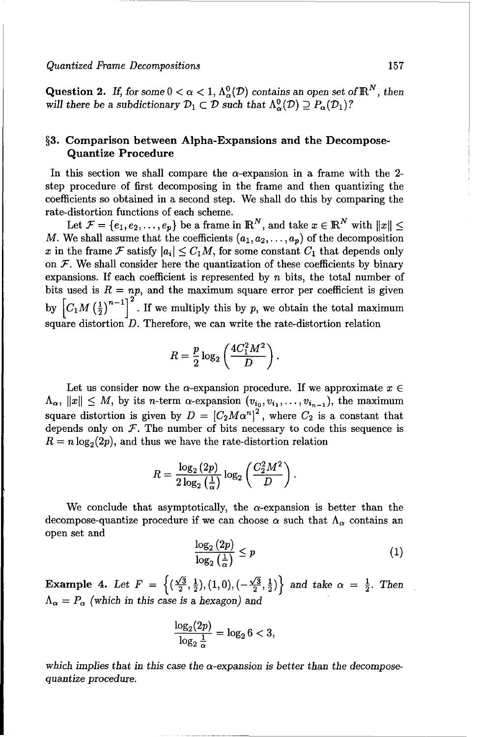Question 2. If, for some  $0 < \alpha < 1$ ,  $\Lambda^0_\alpha(\mathcal{D})$  contains an open set of  $\mathbb{R}^N$ , then will there be a subdictionary  $\mathcal{D}_1 \subset \mathcal{D}$  such that  $\Lambda^0_{\alpha}(\mathcal{D}) \supseteq P_{\alpha}(\mathcal{D}_1)$ ?

#### **§3.** Comparison between Alpha-Expansions and the Decompose-Quantize Procedure

In this section we shall compare the  $\alpha$ -expansion in a frame with the 2step procedure of first decomposing in the frame and then quantizing the coefficients so obtained in a second step. We shall do this by comparing the rate-distortion functions of each scheme.

Let  $\mathcal{F} = \{e_1, e_2, \ldots, e_n\}$  be a frame in  $\mathbb{R}^N$ , and take  $x \in \mathbb{R}^N$  with  $||x|| \leq$ M. We shall assume that the coefficients  $(a_1, a_2, \ldots, a_n)$  of the decomposition x in the frame F satisfy  $|a_i| \leq C_1 M$ , for some constant  $C_1$  that depends only on  $F$ . We shall consider here the quantization of these coefficients by binary expansions. If each coefficient is represented by  $n$  bits, the total number of bits used is  $R = np$ , and the maximum square error per coefficient is given by  $\left[C_1M\left(\frac{1}{2}\right)^{n-1}\right]^2$ . If we multiply this by p, we obtain the total maximum square distortion  $D$ . Therefore, we can write the rate-distortion relation

$$
R=\frac{p}{2}\log_2\left(\frac{4C_1^2M^2}{D}\right).
$$

Let us consider now the  $\alpha$ -expansion procedure. If we approximate  $x \in$  $\Lambda_{\alpha}$ ,  $||x|| \leq M$ , by its *n*-term  $\alpha$ -expansion  $(v_{i_0}, v_{i_1}, \ldots, v_{i_{n-1}})$ , the maximum square distortion is given by  $D = [C_2 M \alpha^n]^2$ , where  $C_2$  is a constant that depends only on  $F$ . The number of bits necessary to code this sequence is  $R = n \log_2(2p)$ , and thus we have the rate-distortion relation

$$
R = \frac{\log_2{(2p)}}{2\log_2{\left(\frac{1}{\alpha}\right)}}\log_2{\left(\frac{C_2^2M^2}{D}\right)}.
$$

We conclude that asymptotically, the  $\alpha$ -expansion is better than the decompose-quantize procedure if we can choose  $\alpha$  such that  $\Lambda_{\alpha}$  contains an open set and

$$
\frac{\log_2\left(2p\right)}{\log_2\left(\frac{1}{\alpha}\right)} \le p \tag{1}
$$

 $E = \frac{1}{\sqrt{2}} \int \frac{f(\sqrt{3}+1) \cdot f(\sqrt{3}+1)}{1+\sqrt{3}}$ **EXAMPLE 4.** Let  $\Gamma = \left( \frac{\sqrt{2}}, \frac{\sqrt{2}}{2}, \frac{\sqrt{1}}{2}, 1, 0 \right), \left( \frac{\sqrt{2}}, \frac{\sqrt{2}}{2}, \frac{\sqrt{2}}{2} \right)$ 

$$
\frac{\log_2(2p)}{\log_2\frac{1}{\alpha}} = \log_2 6 < 3,
$$

which implies that in this case the  $\alpha$ -expansion is better than the decomposequantize *procedure.*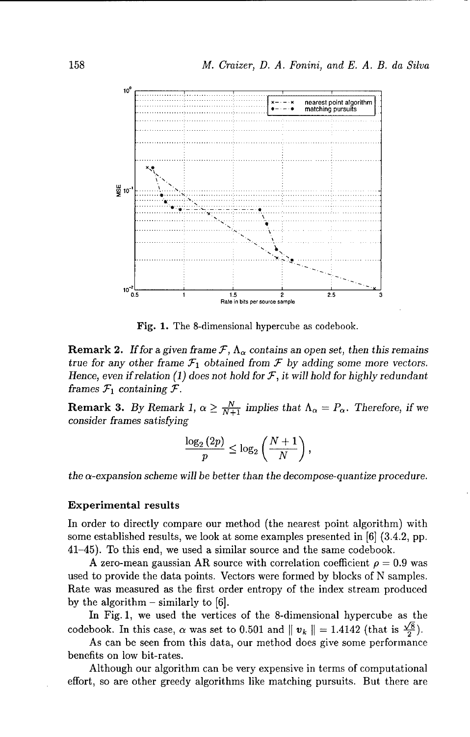

Fig. **1.** The 8-dimensional hypercube as codebook.

**Remark 2.** If for a given frame  $\mathcal{F}$ ,  $\Lambda_{\alpha}$  contains an open set, then this remains *true for any other frame*  $\mathcal{F}_1$  *obtained from*  $\mathcal{F}$  *by adding some more vectors. Hence, even if* relation *(1) does not hold* for *F, it will hold for highly redundant frames*  $\mathcal{F}_1$  *containing*  $\mathcal{F}$ *.* 

**Remark 3.** *By Remark 1,*  $\alpha \geq \frac{N}{N+1}$  implies that  $\Lambda_{\alpha} = P_{\alpha}$ . Therefore, if we *consider frames satisfying*

$$
\frac{\log_2\left(2p\right)}{p} \leq \log_2\left(\frac{N+1}{N}\right),
$$

*the a-expansion scheme will be better than the decompose-quantize procedure.*

#### Experimental results

In order to directly compare our method (the nearest point algorithm) with some established results, we look at some examples presented in [6] (3.4.2, pp. 41-45). To this end, we used a similar source and the same codebook.

A zero-mean gaussian AR source with correlation coefficient  $\rho = 0.9$  was used to provide the data points. Vectors were formed by blocks of N samples. Rate was measured as the first order entropy of the index stream produced by the algorithm  $-$  similarly to [6].

In Fig. 1, we used the vertices of the 8-dimensional hypercube as the codebook. In this case,  $\alpha$  was set to 0.501 and  $\|\mathbf{v}_k\| = 1.4142$  (that is  $\frac{\sqrt{8}}{2}$ ).

As can be seen from this data, our method does give some performance benefits on low bit-rates.

Although our algorithm can be very expensive in terms of computational effort, so are other greedy algorithms like matching pursuits. But there are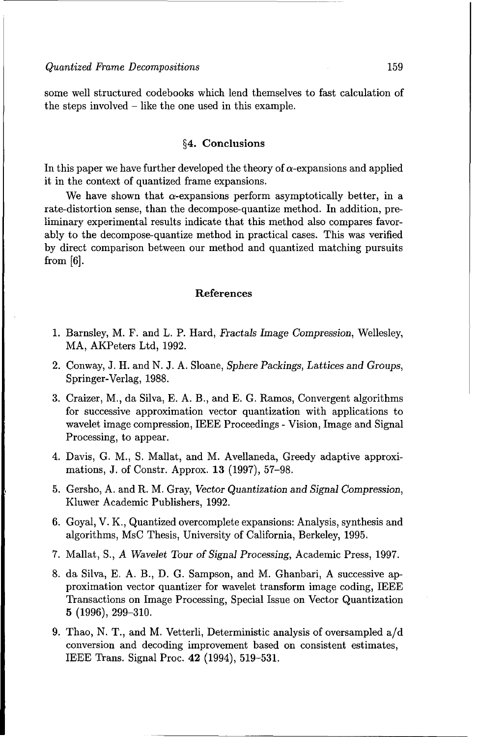some well structured codebooks which lend themselves to fast calculation of the steps involved - like the one used in this example.

#### §4. Conclusions

In this paper we have further developed the theory of  $\alpha$ -expansions and applied it in the context of quantized frame expansions.

We have shown that  $\alpha$ -expansions perform asymptotically better, in a rate-distortion sense, than the decompose-quantize method. In addition, preliminary experimental results indicate that this method also compares favorably to the decompose-quantize method in practical cases. This was verified by direct comparison between our method and quantized matching pursuits from [6].

#### References

- 1. Barnsley, M. F. and L. P. Hard, Fractals *Image Compression,* Wellesley, MA, AKPeters Ltd, 1992.
- 2. Conway, J. H. and N. J. A. Sloane, *Sphere Packings, Lattices and Groups,* Springer-Verlag, 1988.
- 3. Craizer, M., da Silva, E. A. B., and E. G. Ramos, Convergent algorithms for successive approximation vector quantization with applications to wavelet image compression, IEEE Proceedings - Vision, Image and Signal Processing, to appear.
- 4. Davis, G. M., S. Mallat, and M. Avellaneda, Greedy adaptive approximations, J. of Constr. Approx. 13 (1997), 57-98.
- 5. Gersho, A. and R. M. Gray, Vector Quantization and *Signal Compression,* Kluwer Academic Publishers, 1992.
- 6. Goyal, V. K., Quantized overcomplete expansions: Analysis, synthesis and algorithms, MsC Thesis, University of California, Berkeley, 1995.
- 7. Mallat, S., A Wavelet *Tour of Signal Processing,* Academic Press, 1997.
- 8. da Silva, E. A. B., D. G. Sampson, and M. Ghanbari, A successive approximation vector quantizer for wavelet transform image coding, IEEE Transactions on Image Processing, Special Issue on Vector Quantization 5 (1996), 299-310.
- 9. Thao, N. T., and M. Vetterli, Deterministic analysis of oversampled a/d conversion and decoding improvement based on consistent estimates, IEEE Trans. Signal Proc. 42 (1994), 519-531.